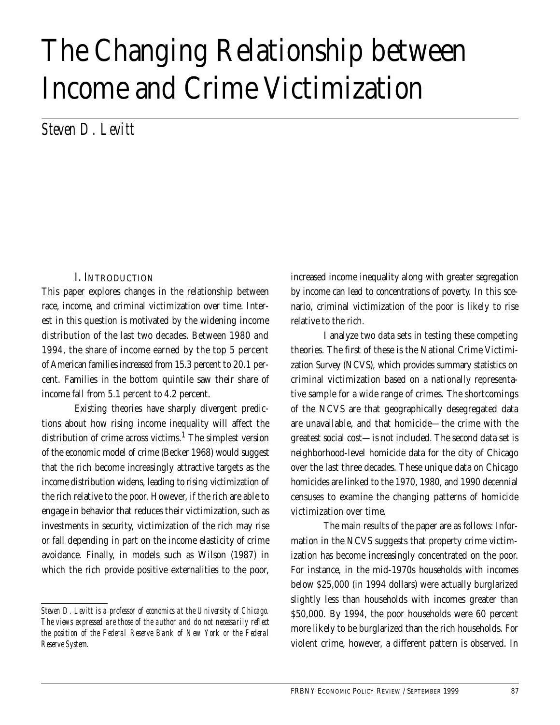# The Changing Relationship between Income and Crime Victimization

*Steven D. Levitt*

# I. INTRODUCTION

This paper explores changes in the relationship between race, income, and criminal victimization over time. Interest in this question is motivated by the widening income distribution of the last two decades. Between 1980 and 1994, the share of income earned by the top 5 percent of American families increased from 15.3 percent to 20.1 percent. Families in the bottom quintile saw their share of income fall from 5.1 percent to 4.2 percent.

Existing theories have sharply divergent predictions about how rising income inequality will affect the distribution of crime across victims.<sup>1</sup> The simplest version of the economic model of crime (Becker 1968) would suggest that the rich become increasingly attractive targets as the income distribution widens, leading to rising victimization of the rich relative to the poor. However, if the rich are able to engage in behavior that reduces their victimization, such as investments in security, victimization of the rich may rise or fall depending in part on the income elasticity of crime avoidance. Finally, in models such as Wilson (1987) in which the rich provide positive externalities to the poor,

*Steven D. Levitt is a professor of economics at the University of Chicago. The views expressed are those of the author and do not necessarily reflect the position of the Federal Reserve Bank of New York or the Federal Reserve System.*

increased income inequality along with greater segregation by income can lead to concentrations of poverty. In this scenario, criminal victimization of the poor is likely to rise relative to the rich.

I analyze two data sets in testing these competing theories. The first of these is the National Crime Victimization Survey (NCVS), which provides summary statistics on criminal victimization based on a nationally representative sample for a wide range of crimes. The shortcomings of the NCVS are that geographically desegregated data are unavailable, and that homicide—the crime with the greatest social cost—is not included. The second data set is neighborhood-level homicide data for the city of Chicago over the last three decades. These unique data on Chicago homicides are linked to the 1970, 1980, and 1990 decennial censuses to examine the changing patterns of homicide victimization over time.

The main results of the paper are as follows: Information in the NCVS suggests that property crime victimization has become increasingly concentrated on the poor. For instance, in the mid-1970s households with incomes below \$25,000 (in 1994 dollars) were actually burglarized slightly less than households with incomes greater than \$50,000. By 1994, the poor households were 60 percent more likely to be burglarized than the rich households. For violent crime, however, a different pattern is observed. In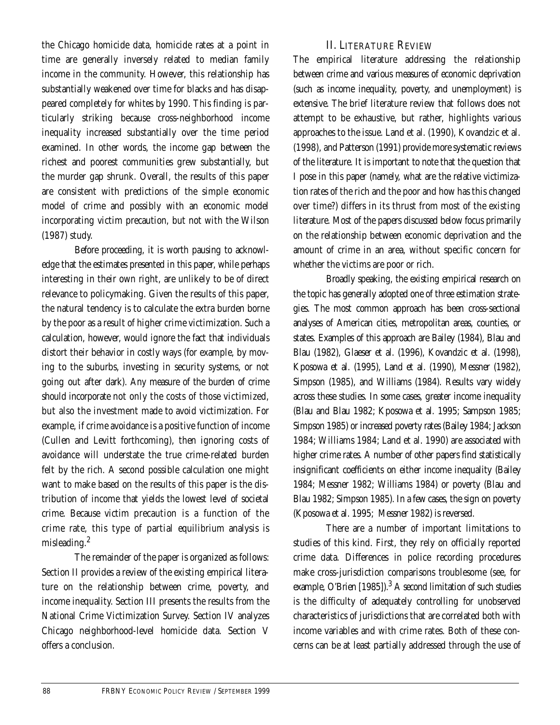the Chicago homicide data, homicide rates at a point in time are generally inversely related to median family income in the community. However, this relationship has substantially weakened over time for blacks and has disappeared completely for whites by 1990. This finding is particularly striking because cross-neighborhood income inequality increased substantially over the time period examined. In other words, the income gap between the richest and poorest communities grew substantially, but the murder gap shrunk. Overall, the results of this paper are consistent with predictions of the simple economic model of crime and possibly with an economic model incorporating victim precaution, but not with the Wilson (1987) study.

Before proceeding, it is worth pausing to acknowledge that the estimates presented in this paper, while perhaps interesting in their own right, are unlikely to be of direct relevance to policymaking. Given the results of this paper, the natural tendency is to calculate the extra burden borne by the poor as a result of higher crime victimization. Such a calculation, however, would ignore the fact that individuals distort their behavior in costly ways (for example, by moving to the suburbs, investing in security systems, or not going out after dark). Any measure of the burden of crime should incorporate not only the costs of those victimized, but also the investment made to avoid victimization. For example, if crime avoidance is a positive function of income (Cullen and Levitt forthcoming), then ignoring costs of avoidance will understate the true crime-related burden felt by the rich. A second possible calculation one might want to make based on the results of this paper is the distribution of income that yields the lowest level of societal crime. Because victim precaution is a function of the crime rate, this type of partial equilibrium analysis is misleading.<sup>2</sup>

The remainder of the paper is organized as follows: Section II provides a review of the existing empirical literature on the relationship between crime, poverty, and income inequality. Section III presents the results from the National Crime Victimization Survey. Section IV analyzes Chicago neighborhood-level homicide data. Section V offers a conclusion.

## II. LITERATURE REVIEW

The empirical literature addressing the relationship between crime and various measures of economic deprivation (such as income inequality, poverty, and unemployment) is extensive. The brief literature review that follows does not attempt to be exhaustive, but rather, highlights various approaches to the issue. Land et al. (1990), Kovandzic et al. (1998), and Patterson (1991) provide more systematic reviews of the literature. It is important to note that the question that I pose in this paper (namely, what are the relative victimization rates of the rich and the poor and how has this changed over time?) differs in its thrust from most of the existing literature. Most of the papers discussed below focus primarily on the relationship between economic deprivation and the amount of crime in an area, without specific concern for whether the victims are poor or rich.

Broadly speaking, the existing empirical research on the topic has generally adopted one of three estimation strategies. The most common approach has been cross-sectional analyses of American cities, metropolitan areas, counties, or states. Examples of this approach are Bailey (1984), Blau and Blau (1982), Glaeser et al. (1996), Kovandzic et al. (1998), Kposowa et al. (1995), Land et al. (1990), Messner (1982), Simpson (1985), and Williams (1984). Results vary widely across these studies. In some cases, greater income inequality (Blau and Blau 1982; Kposowa et al. 1995; Sampson 1985; Simpson 1985) or increased poverty rates (Bailey 1984; Jackson 1984; Williams 1984; Land et al. 1990) are associated with higher crime rates. A number of other papers find statistically insignificant coefficients on either income inequality (Bailey 1984; Messner 1982; Williams 1984) or poverty (Blau and Blau 1982; Simpson 1985). In a few cases, the sign on poverty (Kposowa et al. 1995; Messner 1982) is reversed.

There are a number of important limitations to studies of this kind. First, they rely on officially reported crime data. Differences in police recording procedures make cross-jurisdiction comparisons troublesome (see, for example, O'Brien [1985]). $^3$  A second limitation of such studies is the difficulty of adequately controlling for unobserved characteristics of jurisdictions that are correlated both with income variables and with crime rates. Both of these concerns can be at least partially addressed through the use of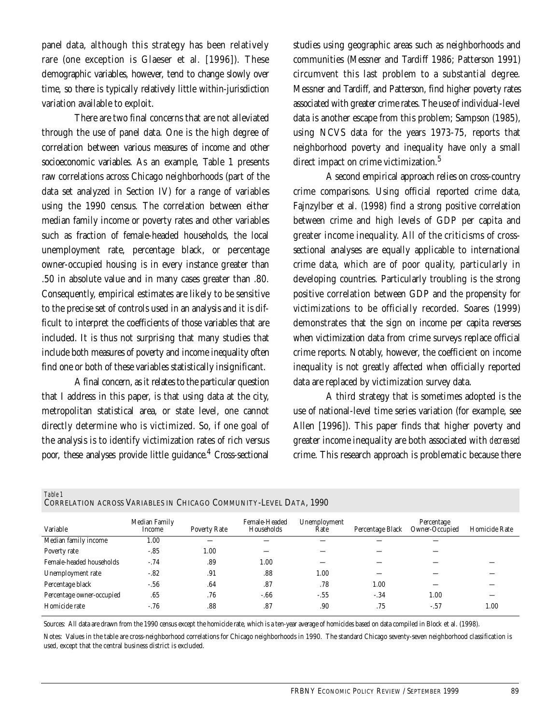panel data, although this strategy has been relatively rare (one exception is Glaeser et al. [1996]). These demographic variables, however, tend to change slowly over time, so there is typically relatively little within-jurisdiction variation available to exploit.

There are two final concerns that are not alleviated through the use of panel data. One is the high degree of correlation between various measures of income and other socioeconomic variables. As an example, Table 1 presents raw correlations across Chicago neighborhoods (part of the data set analyzed in Section IV) for a range of variables using the 1990 census. The correlation between either median family income or poverty rates and other variables such as fraction of female-headed households, the local unemployment rate, percentage black, or percentage owner-occupied housing is in every instance greater than .50 in absolute value and in many cases greater than .80. Consequently, empirical estimates are likely to be sensitive to the precise set of controls used in an analysis and it is difficult to interpret the coefficients of those variables that are included. It is thus not surprising that many studies that include both measures of poverty and income inequality often find one or both of these variables statistically insignificant.

A final concern, as it relates to the particular question that I address in this paper, is that using data at the city, metropolitan statistical area, or state level, one cannot directly determine who is victimized. So, if one goal of the analysis is to identify victimization rates of rich versus poor, these analyses provide little guidance.<sup>4</sup> Cross-sectional

studies using geographic areas such as neighborhoods and communities (Messner and Tardiff 1986; Patterson 1991) circumvent this last problem to a substantial degree. Messner and Tardiff, and Patterson, find higher poverty rates associated with greater crime rates. The use of individual-level data is another escape from this problem; Sampson (1985), using NCVS data for the years 1973-75, reports that neighborhood poverty and inequality have only a small direct impact on crime victimization.<sup>5</sup>

A second empirical approach relies on cross-country crime comparisons. Using official reported crime data, Fajnzylber et al. (1998) find a strong positive correlation between crime and high levels of GDP per capita and greater income inequality. All of the criticisms of crosssectional analyses are equally applicable to international crime data, which are of poor quality, particularly in developing countries. Particularly troubling is the strong positive correlation between GDP and the propensity for victimizations to be officially recorded. Soares (1999) demonstrates that the sign on income per capita reverses when victimization data from crime surveys replace official crime reports. Notably, however, the coefficient on income inequality is not greatly affected when officially reported data are replaced by victimization survey data.

A third strategy that is sometimes adopted is the use of national-level time series variation (for example, see Allen [1996]). This paper finds that higher poverty and greater income inequality are both associated with *decreased* crime. This research approach is problematic because there

| Variable                  | Median Family<br>Income | Poverty Rate | Female-Headed<br>Households | Unemployment<br>Rate | Percentage Black | Percentage<br>Owner-Occupied | Homicide Rate |
|---------------------------|-------------------------|--------------|-----------------------------|----------------------|------------------|------------------------------|---------------|
| Median family income      | 1.00                    |              |                             |                      |                  |                              |               |
| Poverty rate              | $-85$                   | 1.00         |                             |                      |                  |                              |               |
| Female-headed households  | $-.74$                  | .89          | 1.00                        |                      |                  |                              |               |
| Unemployment rate         | $-82$                   | .91          | .88                         | 1.00                 |                  |                              |               |
| Percentage black          | $-.56$                  | .64          | .87                         | .78                  | 1.00             |                              |               |
| Percentage owner-occupied | .65                     | .76          | $-66$                       | $-55$                | $-.34$           | 1.00                         |               |
| Homicide rate             | $-.76$                  | .88          | .87                         | .90                  | .75              | $-.57$                       | $1.00\,$      |

*Table 1* CORRELATION ACROSS VARIABLES IN CHICAGO COMMUNITY-LEVEL DATA, 1990

Sources: All data are drawn from the 1990 census except the homicide rate, which is a ten-year average of homicides based on data compiled in Block et al. (1998).

Notes: Values in the table are cross-neighborhood correlations for Chicago neighborhoods in 1990. The standard Chicago seventy-seven neighborhood classification is used, except that the central business district is excluded.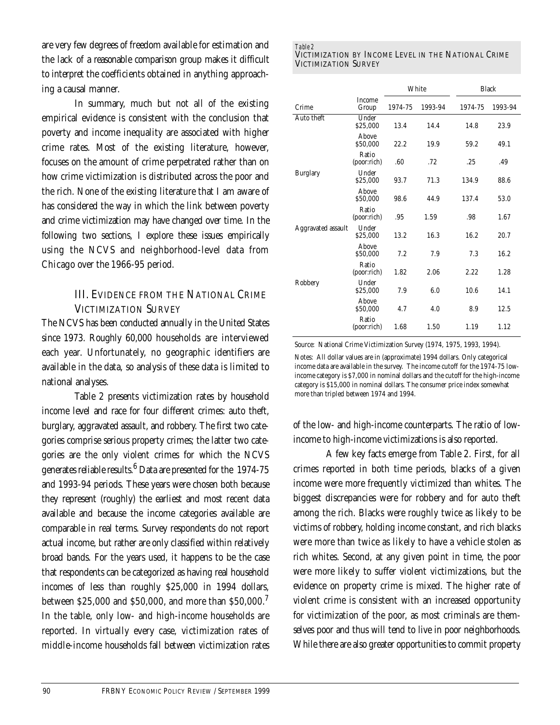are very few degrees of freedom available for estimation and the lack of a reasonable comparison group makes it difficult to interpret the coefficients obtained in anything approaching a causal manner.

In summary, much but not all of the existing empirical evidence is consistent with the conclusion that poverty and income inequality are associated with higher crime rates. Most of the existing literature, however, focuses on the amount of crime perpetrated rather than on how crime victimization is distributed across the poor and the rich. None of the existing literature that I am aware of has considered the way in which the link between poverty and crime victimization may have changed over time. In the following two sections, I explore these issues empirically using the NCVS and neighborhood-level data from Chicago over the 1966-95 period.

# III. EVIDENCE FROM THE NATIONAL CRIME VICTIMIZATION SURVEY

The NCVS has been conducted annually in the United States since 1973. Roughly 60,000 households are interviewed each year. Unfortunately, no geographic identifiers are available in the data, so analysis of these data is limited to national analyses.

Table 2 presents victimization rates by household income level and race for four different crimes: auto theft, burglary, aggravated assault, and robbery. The first two categories comprise serious property crimes; the latter two categories are the only violent crimes for which the NCVS generates reliable results. $^6$  Data are presented for the  $\,$  1974-75  $\,$ and 1993-94 periods. These years were chosen both because they represent (roughly) the earliest and most recent data available and because the income categories available are comparable in real terms. Survey respondents do not report actual income, but rather are only classified within relatively broad bands. For the years used, it happens to be the case that respondents can be categorized as having real household incomes of less than roughly \$25,000 in 1994 dollars, between \$25,000 and \$50,000, and more than \$50,000.<sup>7</sup> In the table, only low- and high-income households are reported. In virtually every case, victimization rates of middle-income households fall between victimization rates

#### *Table 2* VICTIMIZATION BY INCOME LEVEL IN THE NATIONAL CRIME VICTIMIZATION SURVEY

|                    |                      |         | White   |         | <b>Black</b> |
|--------------------|----------------------|---------|---------|---------|--------------|
| Crime              | Income<br>Group      | 1974-75 | 1993-94 | 1974-75 | 1993-94      |
| Auto theft         | Under<br>\$25,000    | 13.4    | 14.4    | 14.8    | 23.9         |
|                    | Above<br>\$50,000    | 22.2    | 19.9    | 59.2    | 49.1         |
|                    | Ratio<br>(poor:rich) | .60     | .72     | .25     | .49          |
| <b>Burglary</b>    | Under<br>\$25,000    | 93.7    | 71.3    | 134.9   | 88.6         |
|                    | Above<br>\$50,000    | 98.6    | 44.9    | 137.4   | 53.0         |
|                    | Ratio<br>(poor:rich) | .95     | 1.59    | .98     | 1.67         |
| Aggravated assault | Under<br>\$25,000    | 13.2    | 16.3    | 16.2    | 20.7         |
|                    | Above<br>\$50,000    | 7.2     | 7.9     | 7.3     | 16.2         |
|                    | Ratio<br>(poor:rich) | 1.82    | 2.06    | 2.22    | 1.28         |
| Robbery            | Under<br>\$25,000    | 7.9     | 6.0     | 10.6    | 14.1         |
|                    | Above<br>\$50,000    | 4.7     | 4.0     | 8.9     | 12.5         |
|                    | Ratio<br>(poor:rich) | 1.68    | 1.50    | 1.19    | 1.12         |

Source: National Crime Victimization Survey (1974, 1975, 1993, 1994).

Notes: All dollar values are in (approximate) 1994 dollars. Only categorical income data are available in the survey. The income cutoff for the 1974-75 lowincome category is \$7,000 in nominal dollars and the cutoff for the high-income category is \$15,000 in nominal dollars. The consumer price index somewhat more than tripled between 1974 and 1994.

of the low- and high-income counterparts. The ratio of lowincome to high-income victimizations is also reported.

A few key facts emerge from Table 2. First, for all crimes reported in both time periods, blacks of a given income were more frequently victimized than whites. The biggest discrepancies were for robbery and for auto theft among the rich. Blacks were roughly twice as likely to be victims of robbery, holding income constant, and rich blacks were more than twice as likely to have a vehicle stolen as rich whites. Second, at any given point in time, the poor were more likely to suffer violent victimizations, but the evidence on property crime is mixed. The higher rate of violent crime is consistent with an increased opportunity for victimization of the poor, as most criminals are themselves poor and thus will tend to live in poor neighborhoods. While there are also greater opportunities to commit property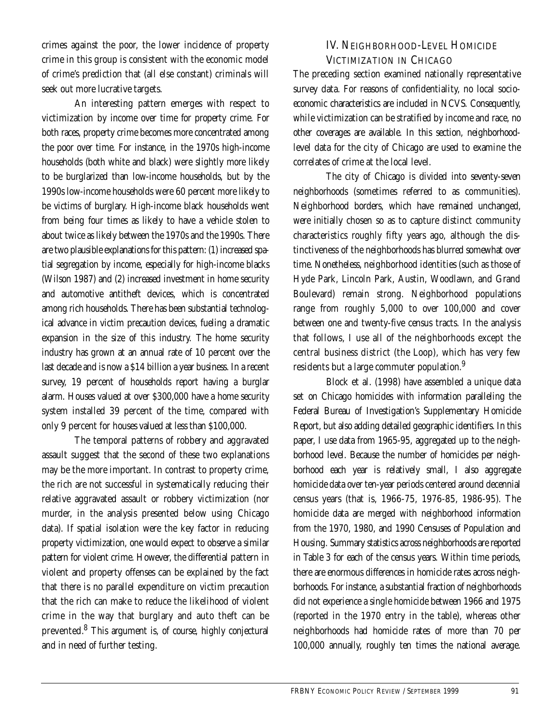crimes against the poor, the lower incidence of property crime in this group is consistent with the economic model of crime's prediction that (all else constant) criminals will seek out more lucrative targets.

An interesting pattern emerges with respect to victimization by income over time for property crime. For both races, property crime becomes more concentrated among the poor over time. For instance, in the 1970s high-income households (both white and black) were slightly more likely to be burglarized than low-income households, but by the 1990s low-income households were 60 percent more likely to be victims of burglary. High-income black households went from being four times as likely to have a vehicle stolen to about twice as likely between the 1970s and the 1990s. There are two plausible explanations for this pattern: (1) increased spatial segregation by income, especially for high-income blacks (Wilson 1987) and (2) increased investment in home security and automotive antitheft devices, which is concentrated among rich households. There has been substantial technological advance in victim precaution devices, fueling a dramatic expansion in the size of this industry. The home security industry has grown at an annual rate of 10 percent over the last decade and is now a \$14 billion a year business. In a recent survey, 19 percent of households report having a burglar alarm. Houses valued at over \$300,000 have a home security system installed 39 percent of the time, compared with only 9 percent for houses valued at less than \$100,000.

The temporal patterns of robbery and aggravated assault suggest that the second of these two explanations may be the more important. In contrast to property crime, the rich are not successful in systematically reducing their relative aggravated assault or robbery victimization (nor murder, in the analysis presented below using Chicago data). If spatial isolation were the key factor in reducing property victimization, one would expect to observe a similar pattern for violent crime. However, the differential pattern in violent and property offenses can be explained by the fact that there is no parallel expenditure on victim precaution that the rich can make to reduce the likelihood of violent crime in the way that burglary and auto theft can be prevented.<sup>8</sup> This argument is, of course, highly conjectural and in need of further testing.

## IV. NEIGHBORHOOD-LEVEL HOMICIDE VICTIMIZATION IN CHICAGO

The preceding section examined nationally representative survey data. For reasons of confidentiality, no local socioeconomic characteristics are included in NCVS. Consequently, while victimization can be stratified by income and race, no other coverages are available. In this section, neighborhoodlevel data for the city of Chicago are used to examine the correlates of crime at the local level.

The city of Chicago is divided into seventy-seven neighborhoods (sometimes referred to as communities). Neighborhood borders, which have remained unchanged, were initially chosen so as to capture distinct community characteristics roughly fifty years ago, although the distinctiveness of the neighborhoods has blurred somewhat over time. Nonetheless, neighborhood identities (such as those of Hyde Park, Lincoln Park, Austin, Woodlawn, and Grand Boulevard) remain strong. Neighborhood populations range from roughly 5,000 to over 100,000 and cover between one and twenty-five census tracts. In the analysis that follows, I use all of the neighborhoods except the central business district (the Loop), which has very few residents but a large commuter population.<sup>9</sup>

Block et al. (1998) have assembled a unique data set on Chicago homicides with information paralleling the Federal Bureau of Investigation's Supplementary Homicide Report, but also adding detailed geographic identifiers. In this paper, I use data from 1965-95, aggregated up to the neighborhood level. Because the number of homicides per neighborhood each year is relatively small, I also aggregate homicide data over ten-year periods centered around decennial census years (that is, 1966-75, 1976-85, 1986-95). The homicide data are merged with neighborhood information from the 1970, 1980, and 1990 Censuses of Population and Housing. Summary statistics across neighborhoods are reported in Table 3 for each of the census years. Within time periods, there are enormous differences in homicide rates across neighborhoods. For instance, a substantial fraction of neighborhoods did not experience a single homicide between 1966 and 1975 (reported in the 1970 entry in the table), whereas other neighborhoods had homicide rates of more than 70 per 100,000 annually, roughly ten times the national average.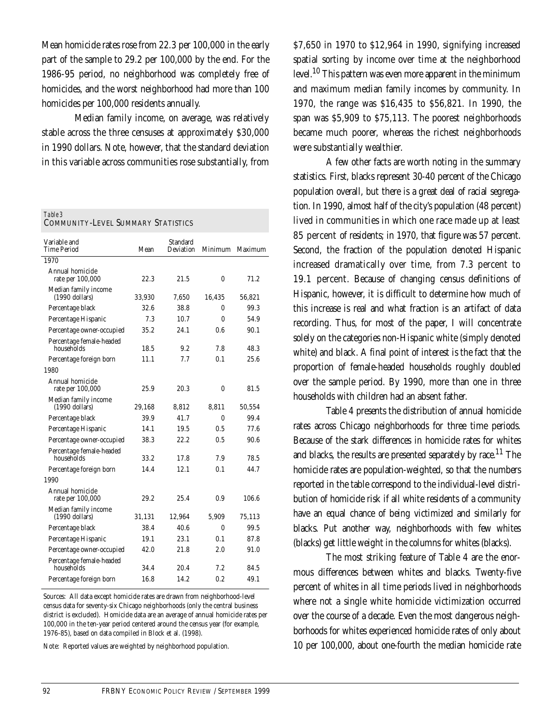Mean homicide rates rose from 22.3 per 100,000 in the early part of the sample to 29.2 per 100,000 by the end. For the 1986-95 period, no neighborhood was completely free of homicides, and the worst neighborhood had more than 100 homicides per 100,000 residents annually.

Median family income, on average, was relatively stable across the three censuses at approximately \$30,000 in 1990 dollars. Note, however, that the standard deviation in this variable across communities rose substantially, from

| Table 3                                   |
|-------------------------------------------|
| <b>COMMUNITY-LEVEL SUMMARY STATISTICS</b> |
|                                           |

| Variable and<br>Time Period              | Mean   | Standard<br>Deviation | Minimum  | Maximum |
|------------------------------------------|--------|-----------------------|----------|---------|
| 1970                                     |        |                       |          |         |
| Annual homicide<br>rate per 100,000      | 22.3   | 21.5                  | 0        | 71.2    |
| Median family income<br>$(1990$ dollars) | 33,930 | 7,650                 | 16,435   | 56,821  |
| Percentage black                         | 32.6   | 38.8                  | 0        | 99.3    |
| Percentage Hispanic                      | 7.3    | 10.7                  | $\Omega$ | 54.9    |
| Percentage owner-occupied                | 35.2   | 24.1                  | 0.6      | 90.1    |
| Percentage female-headed<br>households   | 18.5   | 9.2                   | 7.8      | 48.3    |
| Percentage foreign born                  | 11.1   | 7.7                   | 0.1      | 25.6    |
| 1980                                     |        |                       |          |         |
| Annual homicide<br>rate per 100,000      | 25.9   | 20.3                  | 0        | 81.5    |
| Median family income<br>$(1990$ dollars) | 29,168 | 8,812                 | 8.811    | 50,554  |
| Percentage black                         | 39.9   | 41.7                  | $\theta$ | 99.4    |
| Percentage Hispanic                      | 14.1   | 19.5                  | 0.5      | 77.6    |
| Percentage owner-occupied                | 38.3   | 22.2                  | 0.5      | 90.6    |
| Percentage female-headed<br>households   | 33.2   | 17.8                  | 7.9      | 78.5    |
| Percentage foreign born                  | 14.4   | 12.1                  | 0.1      | 44.7    |
| 1990                                     |        |                       |          |         |
| Annual homicide<br>rate per 100,000      | 29.2   | 25.4                  | 0.9      | 106.6   |
| Median family income<br>$(1990$ dollars) | 31,131 | 12,964                | 5,909    | 75,113  |
| Percentage black                         | 38.4   | 40.6                  | $\theta$ | 99.5    |
| Percentage Hispanic                      | 19.1   | 23.1                  | 0.1      | 87.8    |
| Percentage owner-occupied                | 42.0   | 21.8                  | 2.0      | 91.0    |
| Percentage female-headed<br>households   | 34.4   | 20.4                  | 7.2      | 84.5    |
| Percentage foreign born                  | 16.8   | 14.2                  | 0.2      | 49.1    |

Sources: All data except homicide rates are drawn from neighborhood-level census data for seventy-six Chicago neighborhoods (only the central business district is excluded). Homicide data are an average of annual homicide rates per 100,000 in the ten-year period centered around the census year (for example, 1976-85), based on data compiled in Block et al. (1998).

Note: Reported values are weighted by neighborhood population.

\$7,650 in 1970 to \$12,964 in 1990, signifying increased spatial sorting by income over time at the neighborhood level.<sup>10</sup> This pattern was even more apparent in the minimum and maximum median family incomes by community. In 1970, the range was \$16,435 to \$56,821. In 1990, the span was \$5,909 to \$75,113. The poorest neighborhoods became much poorer, whereas the richest neighborhoods were substantially wealthier.

A few other facts are worth noting in the summary statistics. First, blacks represent 30-40 percent of the Chicago population overall, but there is a great deal of racial segregation. In 1990, almost half of the city's population (48 percent) lived in communities in which one race made up at least 85 percent of residents; in 1970, that figure was 57 percent. Second, the fraction of the population denoted Hispanic increased dramatically over time, from 7.3 percent to 19.1 percent. Because of changing census definitions of Hispanic, however, it is difficult to determine how much of this increase is real and what fraction is an artifact of data recording. Thus, for most of the paper, I will concentrate solely on the categories non-Hispanic white (simply denoted white) and black. A final point of interest is the fact that the proportion of female-headed households roughly doubled over the sample period. By 1990, more than one in three households with children had an absent father.

Table 4 presents the distribution of annual homicide rates across Chicago neighborhoods for three time periods. Because of the stark differences in homicide rates for whites and blacks, the results are presented separately by race.<sup>11</sup> The homicide rates are population-weighted, so that the numbers reported in the table correspond to the individual-level distribution of homicide risk if all white residents of a community have an equal chance of being victimized and similarly for blacks. Put another way, neighborhoods with few whites (blacks) get little weight in the columns for whites (blacks).

The most striking feature of Table 4 are the enormous differences between whites and blacks. Twenty-five percent of whites in all time periods lived in neighborhoods where not a single white homicide victimization occurred over the course of a decade. Even the most dangerous neighborhoods for whites experienced homicide rates of only about 10 per 100,000, about one-fourth the median homicide rate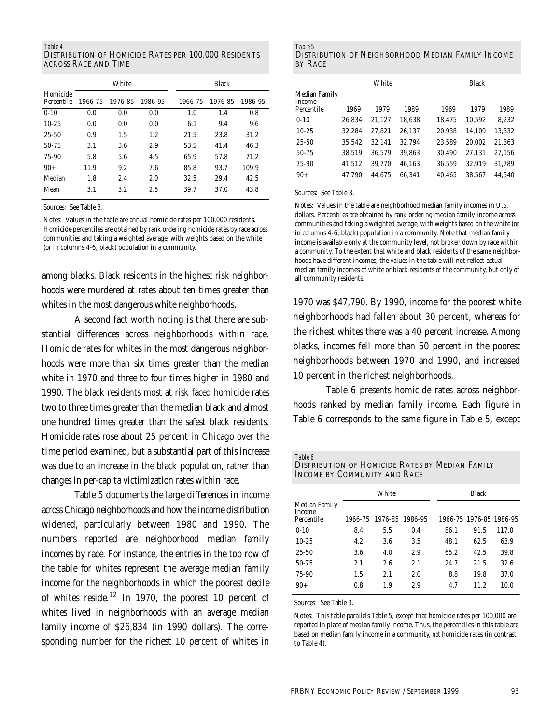#### *Table 4*

DISTRIBUTION OF HOMICIDE RATES PER 100,000 RESIDENTS ACROSS RACE AND TIME

|                        |         | White   |         |         | <b>Black</b> |         |
|------------------------|---------|---------|---------|---------|--------------|---------|
| Homicide<br>Percentile | 1966-75 | 1976-85 | 1986-95 | 1966-75 | 1976-85      | 1986-95 |
| $0-10$                 | 0.0     | 0.0     | 0.0     | 1.0     | 1.4          | 0.8     |
| $10-25$                | 0.0     | 0.0     | 0.0     | 6.1     | 9.4          | 9.6     |
| $25 - 50$              | 0.9     | 1.5     | 1.2     | 21.5    | 23.8         | 31.2    |
| $50 - 75$              | 3.1     | 3.6     | 2.9     | 53.5    | 41.4         | 46.3    |
| 75-90                  | 5.8     | 5.6     | 4.5     | 65.9    | 57.8         | 71.2    |
| $90+$                  | 11.9    | 9.2     | 7.6     | 85.8    | 93.7         | 109.9   |
| Median                 | 1.8     | 2.4     | 2.0     | 32.5    | 29.4         | 42.5    |
| Mean                   | 3.1     | 3.2     | 2.5     | 39.7    | 37.0         | 43.8    |

Sources: See Table 3.

Notes: Values in the table are annual homicide rates per 100,000 residents. Homicide percentiles are obtained by rank ordering homicide rates by race across communities and taking a weighted average, with weights based on the white (or in columns 4-6, black) population in a community.

among blacks. Black residents in the highest risk neighborhoods were murdered at rates about ten times greater than whites in the most dangerous white neighborhoods.

A second fact worth noting is that there are substantial differences across neighborhoods within race. Homicide rates for whites in the most dangerous neighborhoods were more than six times greater than the median white in 1970 and three to four times higher in 1980 and 1990. The black residents most at risk faced homicide rates two to three times greater than the median black and almost one hundred times greater than the safest black residents. Homicide rates rose about 25 percent in Chicago over the time period examined, but a substantial part of this increase was due to an increase in the black population, rather than changes in per-capita victimization rates within race.

Table 5 documents the large differences in income across Chicago neighborhoods and how the income distribution widened, particularly between 1980 and 1990. The numbers reported are neighborhood median family incomes by race. For instance, the entries in the top row of the table for whites represent the average median family income for the neighborhoods in which the poorest decile of whites reside.<sup>12</sup> In 1970, the poorest 10 percent of whites lived in neighborhoods with an average median family income of \$26,834 (in 1990 dollars). The corresponding number for the richest 10 percent of whites in

| Table 5                                           |  |
|---------------------------------------------------|--|
| DISTRIBUTION OF NEIGHBORHOOD MEDIAN FAMILY INCOME |  |
| <b>BY RACE</b>                                    |  |

|                                       |        |        | <b>Black</b> |        |  |        |        |
|---------------------------------------|--------|--------|--------------|--------|--|--------|--------|
| Median Family<br>Income<br>Percentile | 1969   | 1979   | 1989         | 1969   |  | 1979   | 1989   |
| $0-10$                                | 26.834 | 21,127 | 18,638       | 18,475 |  | 10,592 | 8,232  |
| $10 - 25$                             | 32.284 | 27.821 | 26.137       | 20,938 |  | 14.109 | 13.332 |
| $25 - 50$                             | 35,542 | 32.141 | 32.794       | 23,589 |  | 20,002 | 21,363 |
| 50-75                                 | 38,519 | 36,579 | 39.863       | 30,490 |  | 27,131 | 27,156 |
| 75-90                                 | 41,512 | 39,770 | 46.163       | 36,559 |  | 32,919 | 31,789 |
| $90+$                                 | 47.790 | 44.675 | 66.341       | 40,465 |  | 38,567 | 44,540 |

Sources: See Table 3.

Notes: Values in the table are neighborhood median family incomes in U.S. dollars. Percentiles are obtained by rank ordering median family income across communities and taking a weighted average, with weights based on the white (or in columns 4-6, black) population in a community. Note that median family income is available only at the community level, not broken down by race within a community. To the extent that white and black residents of the same neighborhoods have different incomes, the values in the table will not reflect actual median family incomes of white or black residents of the community, but only of all community residents.

1970 was \$47,790. By 1990, income for the poorest white neighborhoods had fallen about 30 percent, whereas for the richest whites there was a 40 percent increase. Among blacks, incomes fell more than 50 percent in the poorest neighborhoods between 1970 and 1990, and increased 10 percent in the richest neighborhoods.

Table 6 presents homicide rates across neighborhoods ranked by median family income. Each figure in Table 6 corresponds to the same figure in Table 5, except

| Table 6<br>DISTRIBUTION OF HOMICIDE RATES BY MEDIAN FAMILY<br>INCOME BY COMMUNITY AND RACE |         |         |         |      |                         |       |
|--------------------------------------------------------------------------------------------|---------|---------|---------|------|-------------------------|-------|
|                                                                                            |         | White   |         |      | <b>Black</b>            |       |
| Median Family<br>Income<br>Percentile                                                      | 1966-75 | 1976-85 | 1986-95 |      | 1966-75 1976-85 1986-95 |       |
| $0-10$                                                                                     | 8.4     | 5.5     | 0.4     | 86.1 | 91.5                    | 117.0 |
| $10 - 25$                                                                                  | 4.2     | 3.6     | 3.5     | 48.1 | 62.5                    | 63.9  |
| $25 - 50$                                                                                  | 3.6     | 4.0     | 2.9     | 65.2 | 42.5                    | 39.8  |
| 50-75                                                                                      | 2.1     | 2.6     | 2.1     | 24.7 | 21.5                    | 32.6  |
| 75-90                                                                                      | 1.5     | 2.1     | 2.0     | 8.8  | 19.8                    | 37.0  |
| $90+$                                                                                      | 0.8     | 1.9     | 2.9     | 4.7  | 11.2                    | 10.0  |

Sources: See Table 3.

Notes: This table parallels Table 5, except that homicide rates per 100,000 are reported in place of median family income. Thus, the percentiles in this table are based on median family income in a community, *not* homicide rates (in contrast to Table 4).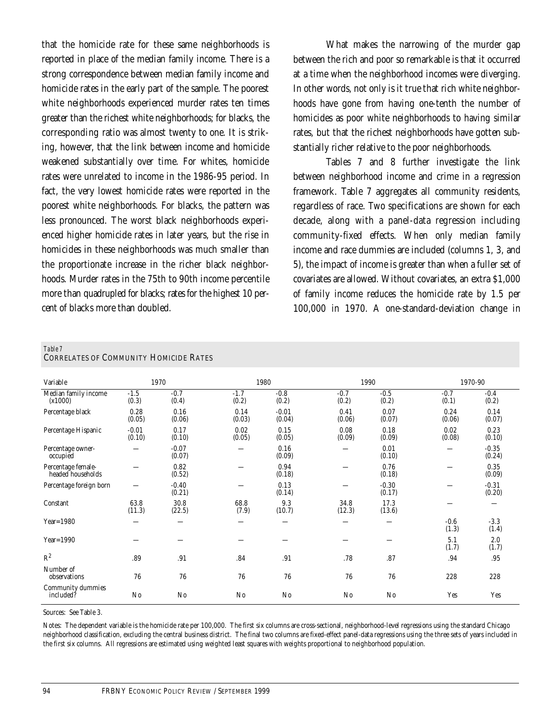that the homicide rate for these same neighborhoods is reported in place of the median family income. There is a strong correspondence between median family income and homicide rates in the early part of the sample. The poorest white neighborhoods experienced murder rates ten times greater than the richest white neighborhoods; for blacks, the corresponding ratio was almost twenty to one. It is striking, however, that the link between income and homicide weakened substantially over time. For whites, homicide rates were unrelated to income in the 1986-95 period. In fact, the very lowest homicide rates were reported in the poorest white neighborhoods. For blacks, the pattern was less pronounced. The worst black neighborhoods experienced higher homicide rates in later years, but the rise in homicides in these neighborhoods was much smaller than the proportionate increase in the richer black neighborhoods. Murder rates in the 75th to 90th income percentile more than quadrupled for blacks; rates for the highest 10 percent of blacks more than doubled.

What makes the narrowing of the murder gap between the rich and poor so remarkable is that it occurred at a time when the neighborhood incomes were diverging. In other words, not only is it true that rich white neighborhoods have gone from having one-tenth the number of homicides as poor white neighborhoods to having similar rates, but that the richest neighborhoods have gotten substantially richer relative to the poor neighborhoods.

Tables 7 and 8 further investigate the link between neighborhood income and crime in a regression framework. Table 7 aggregates all community residents, regardless of race. Two specifications are shown for each decade, along with a panel-data regression including community-fixed effects. When only median family income and race dummies are included (columns 1, 3, and 5), the impact of income is greater than when a fuller set of covariates are allowed. Without covariates, an extra \$1,000 of family income reduces the homicide rate by 1.5 per 100,000 in 1970. A one-standard-deviation change in

#### *Table 7*

| <b>CORRELATES OF COMMUNITY HOMICIDE RATES</b> |  |  |  |
|-----------------------------------------------|--|--|--|
|-----------------------------------------------|--|--|--|

| Variable                                |                   | 1970              | 1980            |                   | 1990            |                   | 1970-90         |                   |
|-----------------------------------------|-------------------|-------------------|-----------------|-------------------|-----------------|-------------------|-----------------|-------------------|
| Median family income<br>(x1000)         | $-1.5$<br>(0.3)   | $-0.7$<br>(0.4)   | $-1.7$<br>(0.2) | $-0.8$<br>(0.2)   | $-0.7$<br>(0.2) | $-0.5$<br>(0.2)   | $-0.7$<br>(0.1) | $-0.4$<br>(0.2)   |
| Percentage black                        | 0.28<br>(0.05)    | 0.16<br>(0.06)    | 0.14<br>(0.03)  | $-0.01$<br>(0.04) | 0.41<br>(0.06)  | 0.07<br>(0.07)    | 0.24<br>(0.06)  | 0.14<br>(0.07)    |
| Percentage Hispanic                     | $-0.01$<br>(0.10) | 0.17<br>(0.10)    | 0.02<br>(0.05)  | 0.15<br>(0.05)    | 0.08<br>(0.09)  | 0.18<br>(0.09)    | 0.02<br>(0.08)  | 0.23<br>(0.10)    |
| Percentage owner-<br>occupied           |                   | $-0.07$<br>(0.07) |                 | 0.16<br>(0.09)    |                 | 0.01<br>(0.10)    |                 | $-0.35$<br>(0.24) |
| Percentage female-<br>headed households |                   | 0.82<br>(0.52)    |                 | 0.94<br>(0.18)    |                 | 0.76<br>(0.18)    |                 | 0.35<br>(0.09)    |
| Percentage foreign born                 |                   | $-0.40$<br>(0.21) |                 | 0.13<br>(0.14)    |                 | $-0.30$<br>(0.17) |                 | $-0.31$<br>(0.20) |
| Constant                                | 63.8<br>(11.3)    | 30.8<br>(22.5)    | 68.8<br>(7.9)   | 9.3<br>(10.7)     | 34.8<br>(12.3)  | 17.3<br>(13.6)    |                 |                   |
| Year= $1980$                            |                   |                   |                 |                   |                 |                   | $-0.6$<br>(1.3) | $-3.3$<br>(1.4)   |
| Year= $1990$                            |                   |                   |                 |                   |                 |                   | 5.1<br>(1.7)    | 2.0<br>(1.7)      |
| $R^2$                                   | .89               | .91               | .84             | .91               | .78             | .87               | .94             | .95               |
| Number of<br>observations               | 76                | 76                | 76              | 76                | 76              | 76                | 228             | 228               |
| Community dummies<br>included?          | $\rm No$          | $\rm No$          | $\rm No$        | No                | $\rm No$        | $\rm No$          | Yes             | Yes               |

Sources: See Table 3.

Notes: The dependent variable is the homicide rate per 100,000. The first six columns are cross-sectional, neighborhood-level regressions using the standard Chicago neighborhood classification, excluding the central business district. The final two columns are fixed-effect panel-data regressions using the three sets of years included in the first six columns. All regressions are estimated using weighted least squares with weights proportional to neighborhood population.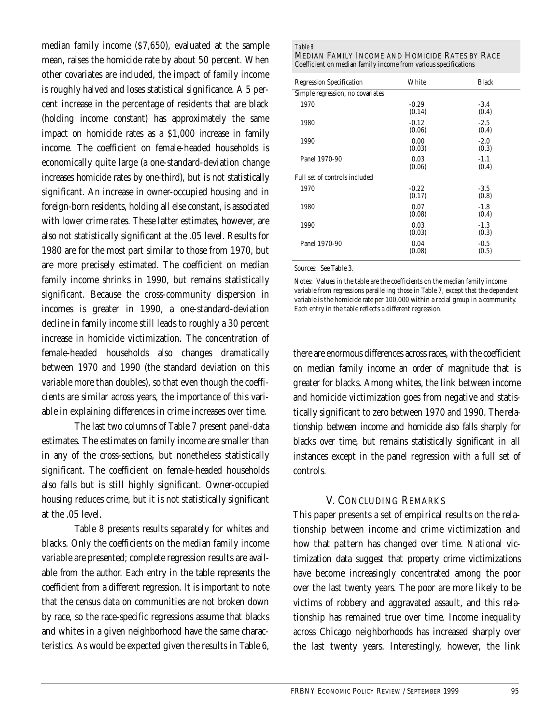median family income (\$7,650), evaluated at the sample mean, raises the homicide rate by about 50 percent. When other covariates are included, the impact of family income is roughly halved and loses statistical significance. A 5 percent increase in the percentage of residents that are black (holding income constant) has approximately the same impact on homicide rates as a \$1,000 increase in family income. The coefficient on female-headed households is economically quite large (a one-standard-deviation change increases homicide rates by one-third), but is not statistically significant. An increase in owner-occupied housing and in foreign-born residents, holding all else constant, is associated with lower crime rates. These latter estimates, however, are also not statistically significant at the .05 level. Results for 1980 are for the most part similar to those from 1970, but are more precisely estimated. The coefficient on median family income shrinks in 1990, but remains statistically significant. Because the cross-community dispersion in incomes is greater in 1990, a one-standard-deviation decline in family income still leads to roughly a 30 percent increase in homicide victimization. The concentration of female-headed households also changes dramatically between 1970 and 1990 (the standard deviation on this variable more than doubles), so that even though the coefficients are similar across years, the importance of this variable in explaining differences in crime increases over time.

The last two columns of Table 7 present panel-data estimates. The estimates on family income are smaller than in any of the cross-sections, but nonetheless statistically significant. The coefficient on female-headed households also falls but is still highly significant. Owner-occupied housing reduces crime, but it is not statistically significant at the .05 level.

Table 8 presents results separately for whites and blacks. Only the coefficients on the median family income variable are presented; complete regression results are available from the author. Each entry in the table represents the coefficient from a different regression. It is important to note that the census data on communities are not broken down by race, so the race-specific regressions assume that blacks and whites in a given neighborhood have the same characteristics. As would be expected given the results in Table 6,

#### *Table 8*

MEDIAN FAMILY INCOME AND HOMICIDE RATES BY RACE Coefficient on median family income from various specifications

| <b>Regression Specification</b>  | White             | <b>Black</b>    |
|----------------------------------|-------------------|-----------------|
| Simple regression, no covariates |                   |                 |
| 1970                             | $-0.29$<br>(0.14) | $-3.4$<br>(0.4) |
| 1980                             | $-0.12$<br>(0.06) | $-2.5$<br>(0.4) |
| 1990                             | 0.00<br>(0.03)    | $-2.0$<br>(0.3) |
| Panel 1970-90                    | 0.03<br>(0.06)    | $-1.1$<br>(0.4) |
| Full set of controls included    |                   |                 |
| 1970                             | $-0.22$<br>(0.17) | $-3.5$<br>(0.8) |
| 1980                             | 0.07<br>(0.08)    | $-1.8$<br>(0.4) |
| 1990                             | 0.03<br>(0.03)    | $-1.3$<br>(0.3) |
| Panel 1970-90                    | 0.04<br>(0.08)    | $-0.5$<br>(0.5) |

Sources: See Table 3.

Notes: Values in the table are the coefficients on the median family income variable from regressions paralleling those in Table 7, except that the dependent variable is the homicide rate per 100,000 within a racial group in a community. Each entry in the table reflects a different regression.

there are enormous differences across races, with the coefficient on median family income an order of magnitude that is greater for blacks. Among whites, the link between income and homicide victimization goes from negative and statistically significant to zero between 1970 and 1990. The relationship between income and homicide also falls sharply for blacks over time, but remains statistically significant in all instances except in the panel regression with a full set of controls.

## V. CONCLUDING REMARKS

This paper presents a set of empirical results on the relationship between income and crime victimization and how that pattern has changed over time. National victimization data suggest that property crime victimizations have become increasingly concentrated among the poor over the last twenty years. The poor are more likely to be victims of robbery and aggravated assault, and this relationship has remained true over time. Income inequality across Chicago neighborhoods has increased sharply over the last twenty years. Interestingly, however, the link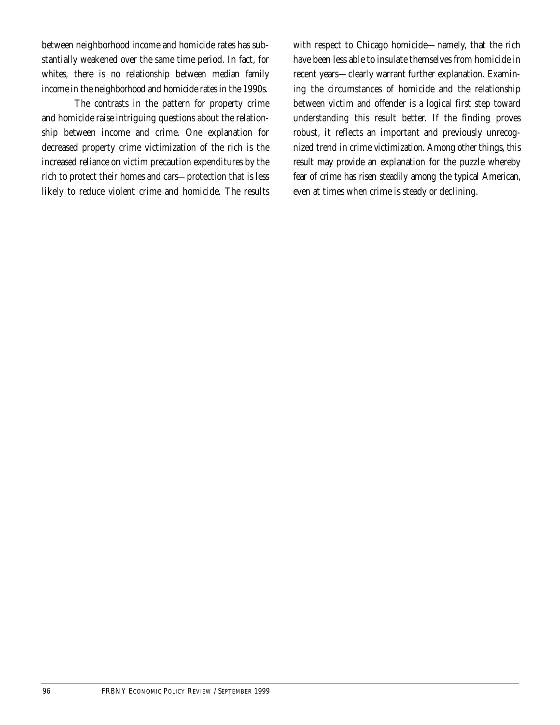between neighborhood income and homicide rates has substantially weakened over the same time period. In fact, for whites, there is no relationship between median family income in the neighborhood and homicide rates in the 1990s.

The contrasts in the pattern for property crime and homicide raise intriguing questions about the relationship between income and crime. One explanation for decreased property crime victimization of the rich is the increased reliance on victim precaution expenditures by the rich to protect their homes and cars—protection that is less likely to reduce violent crime and homicide. The results with respect to Chicago homicide—namely, that the rich have been less able to insulate themselves from homicide in recent years—clearly warrant further explanation. Examining the circumstances of homicide and the relationship between victim and offender is a logical first step toward understanding this result better. If the finding proves robust, it reflects an important and previously unrecognized trend in crime victimization. Among other things, this result may provide an explanation for the puzzle whereby fear of crime has risen steadily among the typical American, even at times when crime is steady or declining.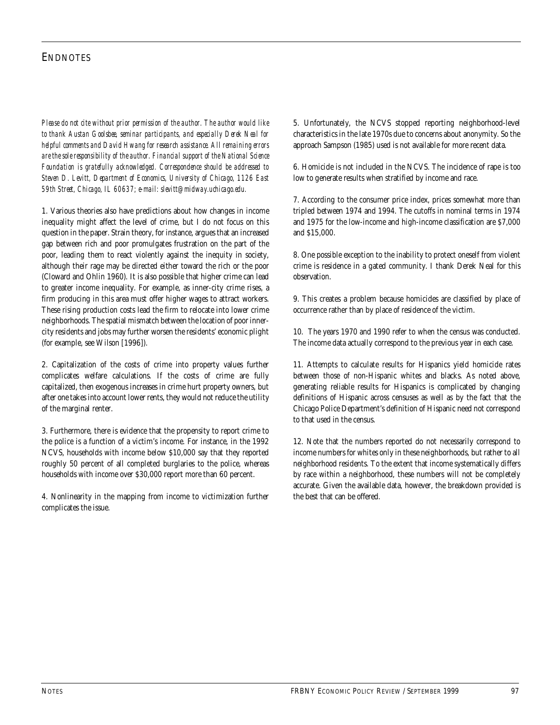## **ENDNOTES**

*Please do not cite without prior permission of the author. The author would like to thank Austan Goolsbee, seminar participants, and especially Derek Neal for helpful comments and David Hwang for research assistance. All remaining errors are the sole responsibility of the author. Financial support of the National Science Foundation is gratefully acknowledged. Correspondence should be addressed to Steven D. Levitt, Department of Economics, University of Chicago, 1126 East 59th Street, Chicago, IL 60637; e-mail: slevitt@midway.uchicago.edu.*

1. Various theories also have predictions about how changes in income inequality might affect the level of crime, but I do not focus on this question in the paper. Strain theory, for instance, argues that an increased gap between rich and poor promulgates frustration on the part of the poor, leading them to react violently against the inequity in society, although their rage may be directed either toward the rich or the poor (Cloward and Ohlin 1960). It is also possible that higher crime can lead to greater income inequality. For example, as inner-city crime rises, a firm producing in this area must offer higher wages to attract workers. These rising production costs lead the firm to relocate into lower crime neighborhoods. The spatial mismatch between the location of poor innercity residents and jobs may further worsen the residents' economic plight (for example, see Wilson [1996]).

2. Capitalization of the costs of crime into property values further complicates welfare calculations. If the costs of crime are fully capitalized, then exogenous increases in crime hurt property owners, but after one takes into account lower rents, they would not reduce the utility of the marginal renter.

3. Furthermore, there is evidence that the propensity to report crime to the police is a function of a victim's income. For instance, in the 1992 NCVS, households with income below \$10,000 say that they reported roughly 50 percent of all completed burglaries to the police, whereas households with income over \$30,000 report more than 60 percent.

4. Nonlinearity in the mapping from income to victimization further complicates the issue.

5. Unfortunately, the NCVS stopped reporting neighborhood-level characteristics in the late 1970s due to concerns about anonymity. So the approach Sampson (1985) used is not available for more recent data.

6. Homicide is not included in the NCVS. The incidence of rape is too low to generate results when stratified by income and race.

7. According to the consumer price index, prices somewhat more than tripled between 1974 and 1994. The cutoffs in nominal terms in 1974 and 1975 for the low-income and high-income classification are \$7,000 and \$15,000.

8. One possible exception to the inability to protect oneself from violent crime is residence in a gated community. I thank Derek Neal for this observation.

9. This creates a problem because homicides are classified by place of occurrence rather than by place of residence of the victim.

10. The years 1970 and 1990 refer to when the census was conducted. The income data actually correspond to the previous year in each case.

11. Attempts to calculate results for Hispanics yield homicide rates between those of non-Hispanic whites and blacks. As noted above, generating reliable results for Hispanics is complicated by changing definitions of Hispanic across censuses as well as by the fact that the Chicago Police Department's definition of Hispanic need not correspond to that used in the census.

12. Note that the numbers reported do not necessarily correspond to income numbers for whites only in these neighborhoods, but rather to all neighborhood residents. To the extent that income systematically differs by race within a neighborhood, these numbers will not be completely accurate. Given the available data, however, the breakdown provided is the best that can be offered.